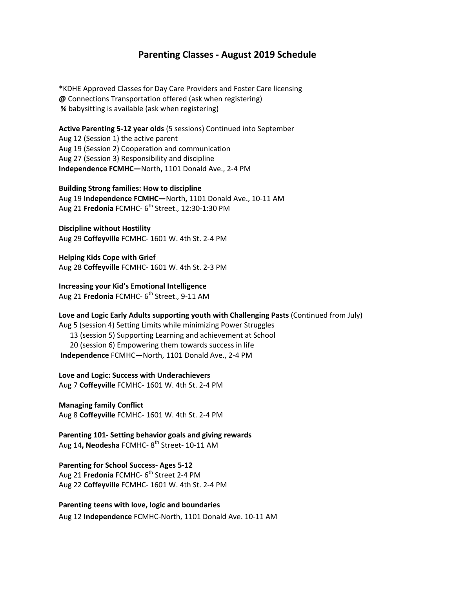## **Parenting Classes ‐ August 2019 Schedule**

**\***KDHE Approved Classes for Day Care Providers and Foster Care licensing **@** Connections Transportation offered (ask when registering) **%** babysitting is available (ask when registering)

**Active Parenting 5‐12 year olds** (5 sessions) Continued into September Aug 12 (Session 1) the active parent Aug 19 (Session 2) Cooperation and communication Aug 27 (Session 3) Responsibility and discipline **Independence FCMHC—**North**,** 1101 Donald Ave., 2‐4 PM

**Building Strong families: How to discipline** Aug 19 **Independence FCMHC—**North**,** 1101 Donald Ave., 10‐11 AM

Aug 21 **Fredonia** FCMHC- 6<sup>th</sup> Street., 12:30-1:30 PM

**Discipline without Hostility** Aug 29 **Coffeyville** FCMHC‐ 1601 W. 4th St. 2‐4 PM

**Helping Kids Cope with Grief** Aug 28 **Coffeyville** FCMHC‐ 1601 W. 4th St. 2‐3 PM

**Increasing your Kid's Emotional Intelligence** Aug 21 **Fredonia** FCMHC- 6<sup>th</sup> Street., 9-11 AM

**Love and Logic Early Adults supporting youth with Challenging Pasts** (Continued from July) Aug 5 (session 4) Setting Limits while minimizing Power Struggles 13 (session 5) Supporting Learning and achievement at School 20 (session 6) Empowering them towards success in life **Independence** FCMHC—North, 1101 Donald Ave., 2‐4 PM

**Love and Logic: Success with Underachievers** Aug 7 **Coffeyville** FCMHC‐ 1601 W. 4th St. 2‐4 PM

**Managing family Conflict** Aug 8 **Coffeyville** FCMHC‐ 1601 W. 4th St. 2‐4 PM

**Parenting 101‐ Setting behavior goals and giving rewards**  Aug 14**, Neodesha** FCMHC‐ 8th Street‐ 10‐11 AM

**Parenting for School Success‐ Ages 5‐12** Aug 21 **Fredonia** FCMHC-6<sup>th</sup> Street 2-4 PM Aug 22 **Coffeyville** FCMHC‐ 1601 W. 4th St. 2‐4 PM

**Parenting teens with love, logic and boundaries** Aug 12 **Independence** FCMHC‐North, 1101 Donald Ave. 10‐11 AM